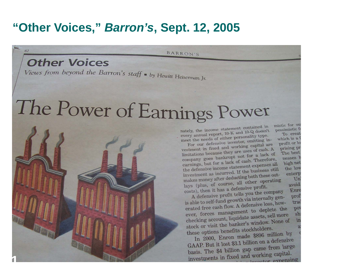#### **"Other Voices,"** *Barron's***, Sept. 12, 2005**

BARRON'S

#### **Other Voices**

62

Views from beyond the Barron's staff  $\bullet$  by Hewitt Heiseman Jr.

# The Power of Earnings Power

nately, the income statement contained in nately, the income statement concance<br>every annual report, 10-K and 10-Q doesn't<br>every annual report, ther personality type. every annual report, 10-K and 10-x above.<br>meet the needs of either personality type. et the needs of either personality of in-<br>For our defensive investor, omitting in-

profit or lo For our defensive investor, omnoung<br>vestment in fixed and working capital are<br>vestment in the area of cash. A prising pr vestment in fixed and working capital. A<br>limitations because they are uses of eash. A<br>hopkey that for a lack of The best limitations because they are uses of cash.<br>company goes bankrupt not for a lack of<br>the same lack of cash. Therefore, company goes bankrupt not for a lack<br>earnings, but for a lack of cash. Therefore, nesses ! high net earnings, but for a lack of cash. The<br>the defensive income statement expenses all the low the defensive income statement expenses<br>investment as incurred. If the business still<br>investment as incurred. If the business still investment as incurred. If the business out-<br>makes money after deducting both these outenterp! makes money after deducting boundary of course, all other operating<br>lays (plus, of course, all other operating Un avoid lays (plus, of course, an other profit.<br>costs), then it has a defensive profit.  $(3)$  then it has a detensive profit.<br>A defensive profit tells you the company Enro

mistic for our

pessimistic fo

which is a f

To creat

A defensive profit tells you are company gen-<br>is able to self-fund growth via internally genprofi is able to self-fund growth via internations, how-<br>erated free cash flow. A defensive loss, howtrad erated free cash flow. A detensive loss, the contract of the contract of the contract of the contract of the contract of the contract of the contract of the contract of the contract of the contract of the contract of the c **DOV** ever, forces management to deplete<br>checking account, liquidate assets, sell more<br>hecking account, herder's window. None of  $sh:$ checking account, liquidate assess, compared at the banker's window. None of in stock or visit the banker<br>these options benefits stockholders.

In 2000, Enron made \$896 million by<br>In 2000, Enron made \$896 million by GAAP. But it lost \$3.1 billion on a defensive<br>GAAP. But it lost \$3.1 billion on a defensive GAAP. But it lost  $$3.1$  billion on a come large<br>basis. The  $$4$  billion gap came from large basis. The \$4 billion gap cannot capital.<br>investments in fixed and working capital.

**1**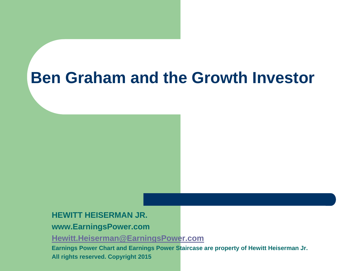## **Ben Graham and the Growth Investor**

#### **HEWITT HEISERMAN JR.**

#### **www.EarningsPower.com**

**[Hewitt.Heiserman@EarningsPower.com](mailto:Hewitt.Heiserman@Earningspower.com)**

**Earnings Power Chart and Earnings Power Staircase are property of Hewitt Heiserman Jr. All rights reserved. Copyright 2015**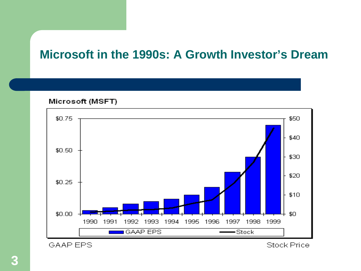#### **Microsoft in the 1990s: A Growth Investor's Dream**

Microsoft (MSFT)



**GAAP EPS** 

**Stock Price**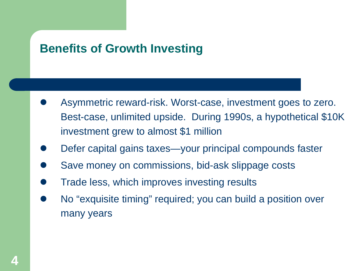#### **Benefits of Growth Investing**

- Asymmetric reward-risk. Worst-case, investment goes to zero. Best-case, unlimited upside. During 1990s, a hypothetical \$10K investment grew to almost \$1 million
- Defer capital gains taxes—your principal compounds faster
- Save money on commissions, bid-ask slippage costs
- Trade less, which improves investing results
- No "exquisite timing" required; you can build a position over many years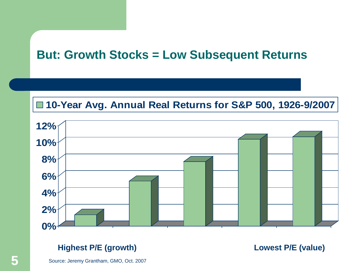#### **But: Growth Stocks = Low Subsequent Returns**

#### **10-Year Avg. Annual Real Returns for S&P 500, 1926-9/2007**



Source: Jeremy Grantham, GMO, Oct. 2007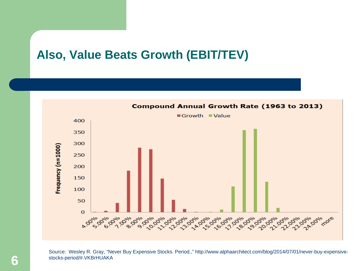#### **Also, Value Beats Growth (EBIT/TEV)**



Source: Wesley R. Gray, "Never Buy Expensive Stocks. Period.," http://www.alphaarchitect.com/blog/2014/07/01/never-buy-expensivestocks-period/#.VKBrHUAKA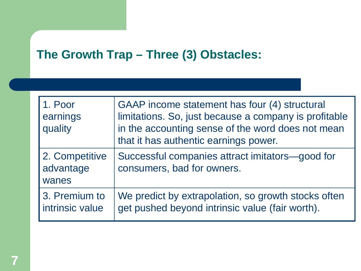#### **The Growth Trap – Three (3) Obstacles:**

| 1. Poor<br>earnings<br>quality       | GAAP income statement has four (4) structural<br>limitations. So, just because a company is profitable<br>in the accounting sense of the word does not mean<br>that it has authentic earnings power. |
|--------------------------------------|------------------------------------------------------------------------------------------------------------------------------------------------------------------------------------------------------|
| 2. Competitive<br>advantage<br>wanes | Successful companies attract imitators-good for<br>consumers, bad for owners.                                                                                                                        |
| 3. Premium to<br>intrinsic value     | We predict by extrapolation, so growth stocks often<br>get pushed beyond intrinsic value (fair worth).                                                                                               |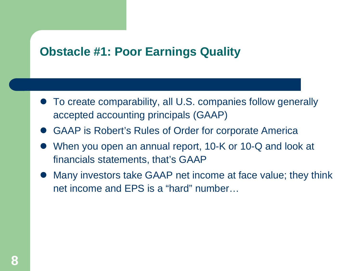#### **Obstacle #1: Poor Earnings Quality**

- To create comparability, all U.S. companies follow generally accepted accounting principals (GAAP)
- GAAP is Robert's Rules of Order for corporate America
- When you open an annual report, 10-K or 10-Q and look at financials statements, that's GAAP
- Many investors take GAAP net income at face value; they think net income and EPS is a "hard" number…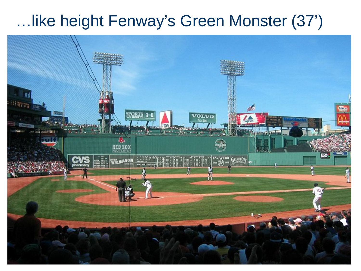## …like height Fenway's Green Monster (37')

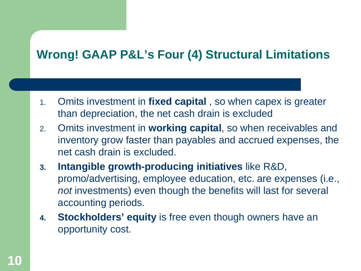### **Wrong! GAAP P&L's Four (4) Structural Limitations**

- 1. Omits investment in **fixed capital** , so when capex is greater than depreciation, the net cash drain is excluded
- 2. Omits investment in **working capital**, so when receivables and inventory grow faster than payables and accrued expenses, the net cash drain is excluded.
- **3. Intangible growth-producing initiatives** like R&D, promo/advertising, employee education, etc. are expenses (i.e., *not* investments) even though the benefits will last for several accounting periods.
- **4. Stockholders' equity** is free even though owners have an opportunity cost.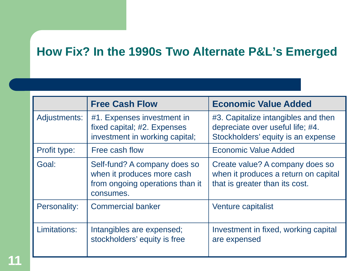### **How Fix? In the 1990s Two Alternate P&L's Emerged**

|              | <b>Free Cash Flow</b>                                                                                      | <b>Economic Value Added</b>                                                                                   |
|--------------|------------------------------------------------------------------------------------------------------------|---------------------------------------------------------------------------------------------------------------|
| Adjustments: | #1. Expenses investment in<br>fixed capital; #2. Expenses<br>investment in working capital;                | #3. Capitalize intangibles and then<br>depreciate over useful life; #4.<br>Stockholders' equity is an expense |
| Profit type: | Free cash flow                                                                                             | <b>Economic Value Added</b>                                                                                   |
| Goal:        | Self-fund? A company does so<br>when it produces more cash<br>from ongoing operations than it<br>consumes. | Create value? A company does so<br>when it produces a return on capital<br>that is greater than its cost.     |
| Personality: | <b>Commercial banker</b>                                                                                   | Venture capitalist                                                                                            |
| Limitations: | Intangibles are expensed;<br>stockholders' equity is free                                                  | Investment in fixed, working capital<br>are expensed                                                          |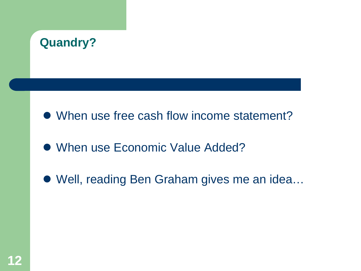

- When use free cash flow income statement?
- When use Economic Value Added?
- Well, reading Ben Graham gives me an idea...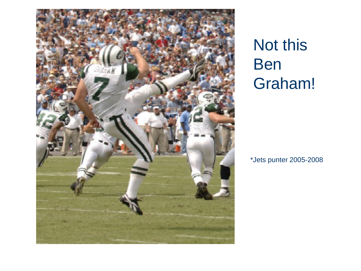

# Not this Ben Graham!

\*Jets punter 2005-2008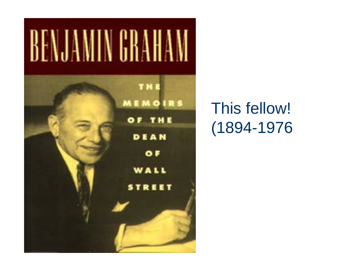

## This fellow! (1894-1976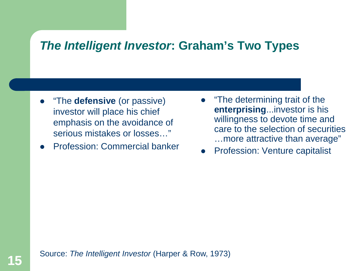#### *The Intelligent Investor***: Graham's Two Types**

- "The **defensive** (or passive) investor will place his chief emphasis on the avoidance of serious mistakes or losses…"
- Profession: Commercial banker
- "The determining trait of the **enterprising**...investor is his willingness to devote time and care to the selection of securities …more attractive than average"
- Profession: Venture capitalist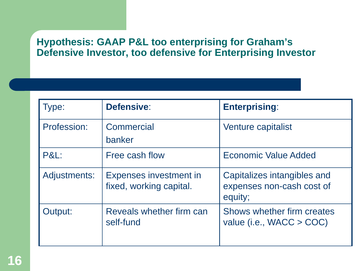#### **Hypothesis: GAAP P&L too enterprising for Graham's Defensive Investor, too defensive for Enterprising Investor**

| Type:           | Defensive:                                               | <b>Enterprising:</b>                                                |
|-----------------|----------------------------------------------------------|---------------------------------------------------------------------|
| Profession:     | Commercial<br>banker                                     | Venture capitalist                                                  |
| <b>P&amp;L:</b> | Free cash flow                                           | <b>Economic Value Added</b>                                         |
| Adjustments:    | <b>Expenses investment in</b><br>fixed, working capital. | Capitalizes intangibles and<br>expenses non-cash cost of<br>equity; |
| Output:         | Reveals whether firm can<br>self-fund                    | Shows whether firm creates<br>value (i.e., $WACC > COC$ )           |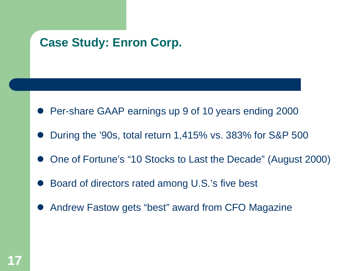#### **Case Study: Enron Corp.**

- Per-share GAAP earnings up 9 of 10 years ending 2000
- During the '90s, total return 1,415% vs. 383% for S&P 500
- One of Fortune's "10 Stocks to Last the Decade" (August 2000)
- Board of directors rated among U.S.'s five best
- Andrew Fastow gets "best" award from CFO Magazine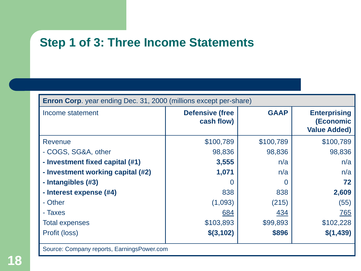#### **Step 1 of 3: Three Income Statements**

| Income statement                  | <b>Defensive (free</b><br>cash flow) | <b>GAAP</b> | <b>Enterprising</b><br>(Economic<br><b>Value Added)</b> |
|-----------------------------------|--------------------------------------|-------------|---------------------------------------------------------|
| Revenue                           | \$100,789                            | \$100,789   | \$100,789                                               |
| - COGS, SG&A, other               | 98,836                               | 98,836      | 98,836                                                  |
| - Investment fixed capital (#1)   | 3,555                                | n/a         | n/a                                                     |
| - Investment working capital (#2) | 1,071                                | n/a         | n/a                                                     |
| - Intangibles (#3)                | $\cup$                               | 0           | 72                                                      |
| - Interest expense (#4)           | 838                                  | 838         | 2,609                                                   |
| - Other                           | (1,093)                              | (215)       | (55)                                                    |
| - Taxes                           | 684                                  | 434         | 765                                                     |
| <b>Total expenses</b>             | \$103,893                            | \$99,893    | \$102,228                                               |
| Profit (loss)                     | \$(3,102)                            | \$896       | \$(1,439)                                               |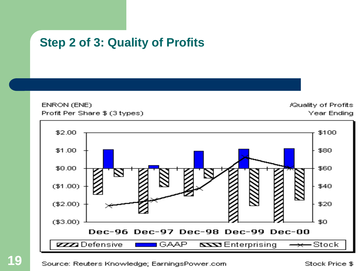#### **Step 2 of 3: Quality of Profits**

ENRON (ENE) Profit Per Share \$ (3 types) **/Quality of Profits Year Ending** 

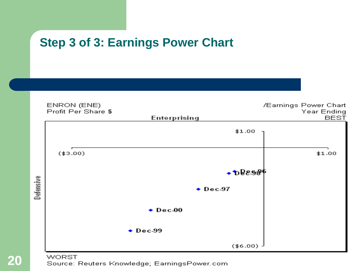#### **Step 3 of 3: Earnings Power Chart**





**20**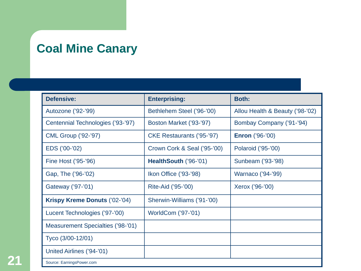#### **Coal Mine Canary**

| <b>Defensive:</b>                 | <b>Enterprising:</b>        | <b>Both:</b>                    |
|-----------------------------------|-----------------------------|---------------------------------|
| Autozone ('92-'99)                | Bethlehem Steel ('96-'00)   | Allou Health & Beauty ('98-'02) |
| Centennial Technologies ('93-'97) | Boston Market ('93-'97)     | Bombay Company ('91-'94)        |
| <b>CML Group ('92-'97)</b>        | CKE Restaurants ('95-'97)   | <b>Enron</b> ('96-'00)          |
| EDS ('00-'02)                     | Crown Cork & Seal ('95-'00) | Polaroid ('95-'00)              |
| Fine Host ('95-'96)               | HealthSouth ('96-'01)       | Sunbeam ('93-'98)               |
| Gap, The ('96-'02)                | Ikon Office ('93-'98)       | Warnaco ('94-'99)               |
| Gateway ('97-'01)                 | Rite-Aid ('95-'00)          | Xerox ('96-'00)                 |
| Krispy Kreme Donuts ('02-'04)     | Sherwin-Williams ('91-'00)  |                                 |
| Lucent Technologies ('97-'00)     | WorldCom ('97-'01)          |                                 |
| Measurement Specialties ('98-'01) |                             |                                 |
| Tyco (3/00-12/01)                 |                             |                                 |
| United Airlines ('94-'01)         |                             |                                 |
| Source: EarningsPower.com         |                             |                                 |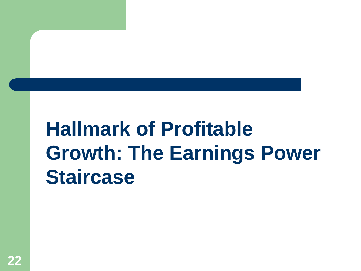# **Hallmark of Profitable Growth: The Earnings Power Staircase**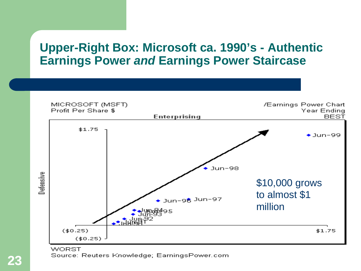#### **Upper-Right Box: Microsoft ca. 1990's - Authentic Earnings Power** *and* **Earnings Power Staircase**



**WORST** Source: Reuters Knowledge; EarningsPower.com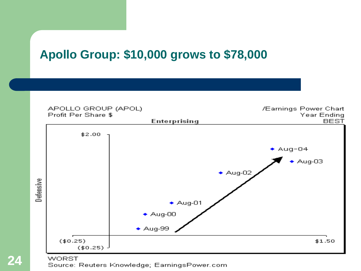#### **Apollo Group: \$10,000 grows to \$78,000**



#### **WORST**

Source: Reuters Knowledge; EarningsPower.com

**24**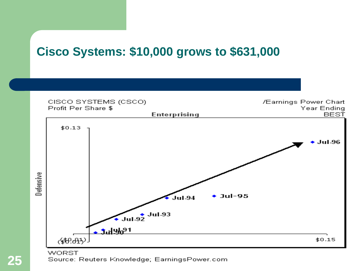#### **Cisco Systems: \$10,000 grows to \$631,000**



**WORST** 

Source: Reuters Knowledge; EarningsPower.com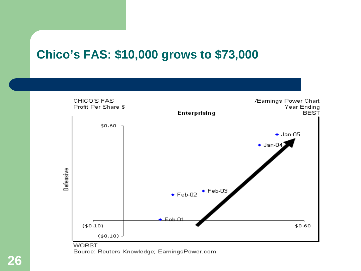#### **Chico's FAS: \$10,000 grows to \$73,000**



Source: Reuters Knowledge; EarningsPower.com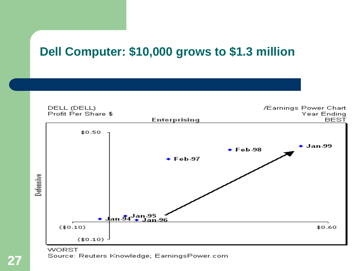#### **Dell Computer: \$10,000 grows to \$1.3 million**



**WORST** Source: Reuters Knowledge; EarningsPower.com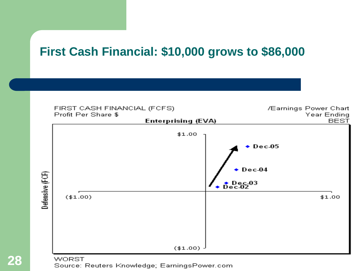#### **First Cash Financial: \$10,000 grows to \$86,000**



Source: Reuters Knowledge; EarningsPower.com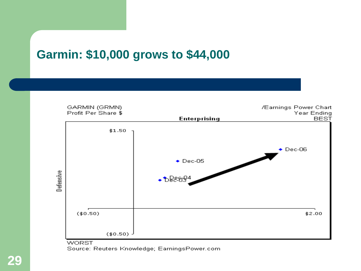#### **Garmin: \$10,000 grows to \$44,000**



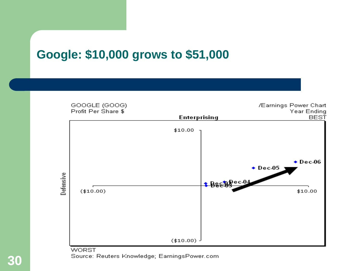#### **Google: \$10,000 grows to \$51,000**



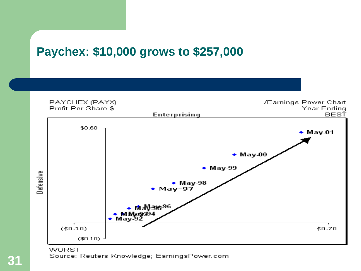#### **Paychex: \$10,000 grows to \$257,000**



Source: Reuters Knowledge; EarningsPower.com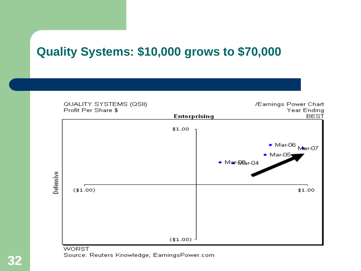#### **Quality Systems: \$10,000 grows to \$70,000**



**WORST** Source: Reuters Knowledge; EarningsPower.com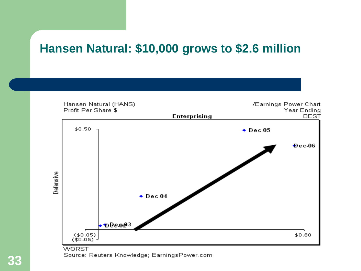#### **Hansen Natural: \$10,000 grows to \$2.6 million**



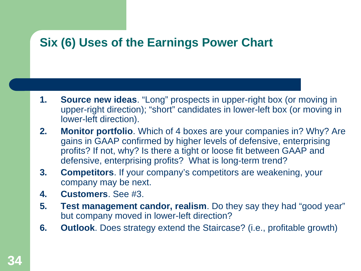#### **Six (6) Uses of the Earnings Power Chart**

- **1. Source new ideas**. "Long" prospects in upper-right box (or moving in upper-right direction); "short" candidates in lower-left box (or moving in lower-left direction).
- **2. Monitor portfolio**. Which of 4 boxes are your companies in? Why? Are gains in GAAP confirmed by higher levels of defensive, enterprising profits? If not, why? Is there a tight or loose fit between GAAP and defensive, enterprising profits? What is long-term trend?
- **3. Competitors**. If your company's competitors are weakening, your company may be next.
- **4. Customers**. See #3.
- **5. Test management candor, realism**. Do they say they had "good year" but company moved in lower-left direction?
- **6. Outlook**. Does strategy extend the Staircase? (i.e., profitable growth)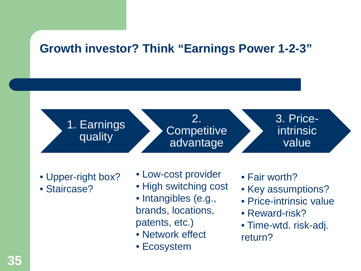#### **Growth investor? Think "Earnings Power 1-2-3"**

1. Earnings quality

2. **Competitive** advantage

3. Priceintrinsic value

- Upper-right box?
- Staircase?
- Low-cost provider
- High switching cost
- Intangibles (e.g., brands, locations, patents, etc.)
- Network effect
- Ecosystem
- Fair worth?
- Key assumptions?
- Price-intrinsic value
- Reward-risk?
- Time-wtd. risk-adj. return?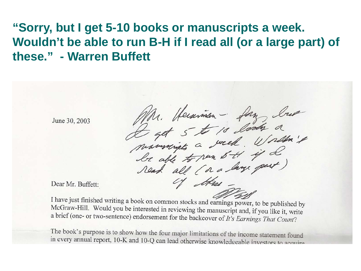#### **"Sorry, but I get 5-10 books or manuscripts a week. Wouldn't be able to run B-H if I read all (or a large part) of these." - Warren Buffett**

June 30, 2003

Mr. Herarman - fan Ing<br>Liget 5 to 10 look a<br>marmingts a week. Worlden't

Dear Mr. Buffett:

I have just finished writing a book on common stocks and earnings power, to be published by McGraw-Hill. Would you be interested in reviewing the manuscript and, if you like it, write a brief (one- or two-sentence) endorsement for the backcover of It's Earnings That Count?

The book's purpose is to show how the four major limitations of the income statement found<br>in avery armed arm  $t$ , 10 K and 10 C and 10 C and 10 C and 10 C and 10 C and 10 C and 10 C and 10 C and 10 C and 10 C and 10 C an in every annual report, 10-K and 10-Q can lead otherwise knowledgeable investors to acquire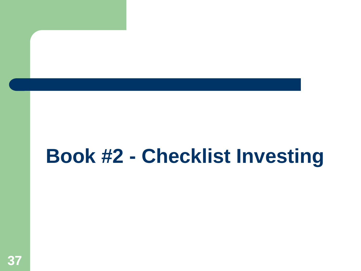# **Book #2 - Checklist Investing**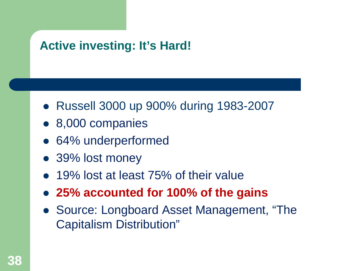#### **Active investing: It's Hard!**

- Russell 3000 up 900% during 1983-2007
- 8,000 companies
- 64% underperformed
- 39% lost money
- 19% lost at least 75% of their value
- **25% accounted for 100% of the gains**
- Source: Longboard Asset Management, "The Capitalism Distribution"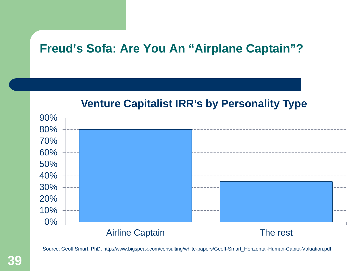#### **Freud's Sofa: Are You An "Airplane Captain"?**





Source: Geoff Smart, PhD. http://www.bigspeak.com/consulting/white-papers/Geoff-Smart\_Horizontal-Human-Capita-Valuation.pdf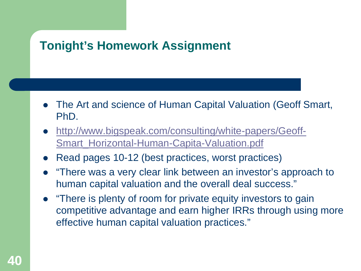#### **Tonight's Homework Assignment**

- The Art and science of Human Capital Valuation (Geoff Smart, PhD.
- [http://www.bigspeak.com/consulting/white-papers/Geoff-](http://www.bigspeak.com/consulting/white-papers/Geoff-Smart_Horizontal-Human-Capita-Valuation.pdf)[Smart\\_Horizontal-Human-Capita-Valuation.pdf](http://www.bigspeak.com/consulting/white-papers/Geoff-Smart_Horizontal-Human-Capita-Valuation.pdf)
- Read pages 10-12 (best practices, worst practices)
- "There was a very clear link between an investor's approach to human capital valuation and the overall deal success."
- "There is plenty of room for private equity investors to gain competitive advantage and earn higher IRRs through using more effective human capital valuation practices."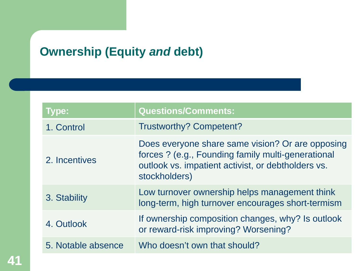#### **Ownership (Equity** *and* **debt)**

| <b>Type:</b>       | <b>Questions/Comments:</b>                                                                                                                                                    |
|--------------------|-------------------------------------------------------------------------------------------------------------------------------------------------------------------------------|
| 1. Control         | <b>Trustworthy? Competent?</b>                                                                                                                                                |
| 2. Incentives      | Does everyone share same vision? Or are opposing<br>forces ? (e.g., Founding family multi-generational<br>outlook vs. impatient activist, or debtholders vs.<br>stockholders) |
| 3. Stability       | Low turnover ownership helps management think<br>long-term, high turnover encourages short-termism                                                                            |
| 4. Outlook         | If ownership composition changes, why? Is outlook<br>or reward-risk improving? Worsening?                                                                                     |
| 5. Notable absence | Who doesn't own that should?                                                                                                                                                  |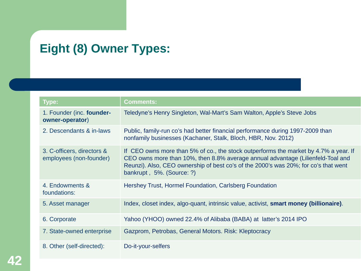## **Eight (8) Owner Types:**

| <b>Type:</b>                                          | <b>Comments:</b>                                                                                                                                                                                                                                                                            |
|-------------------------------------------------------|---------------------------------------------------------------------------------------------------------------------------------------------------------------------------------------------------------------------------------------------------------------------------------------------|
| 1. Founder (inc. founder-<br>owner-operator)          | Teledyne's Henry Singleton, Wal-Mart's Sam Walton, Apple's Steve Jobs                                                                                                                                                                                                                       |
| 2. Descendants & in-laws                              | Public, family-run co's had better financial performance during 1997-2009 than<br>nonfamily businesses (Kachaner, Stalk, Bloch, HBR, Nov. 2012)                                                                                                                                             |
| 3. C-officers, directors &<br>employees (non-founder) | If CEO owns more than 5% of co., the stock outperforms the market by 4.7% a year. If<br>CEO owns more than 10%, then 8.8% average annual advantage (Lilienfeld-Toal and<br>Reunzi). Also, CEO ownership of best co's of the 2000's was 20%; for co's that went<br>bankrupt, 5%. (Source: ?) |
| 4. Endowments &<br>foundations:                       | Hershey Trust, Hormel Foundation, Carlsberg Foundation                                                                                                                                                                                                                                      |
| 5. Asset manager                                      | Index, closet index, algo-quant, intrinsic value, activist, smart money (billionaire).                                                                                                                                                                                                      |
| 6. Corporate                                          | Yahoo (YHOO) owned 22.4% of Alibaba (BABA) at latter's 2014 IPO                                                                                                                                                                                                                             |
| 7. State-owned enterprise                             | Gazprom, Petrobas, General Motors. Risk: Kleptocracy                                                                                                                                                                                                                                        |
| 8. Other (self-directed):                             | Do-it-your-selfers                                                                                                                                                                                                                                                                          |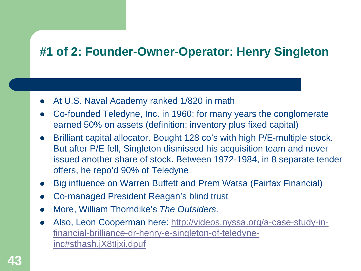#### **#1 of 2: Founder-Owner-Operator: Henry Singleton**

- At U.S. Naval Academy ranked 1/820 in math
- Co-founded Teledyne, Inc. in 1960; for many years the conglomerate earned 50% on assets (definition: inventory plus fixed capital)
- Brilliant capital allocator. Bought 128 co's with high P/E-multiple stock. But after P/E fell, Singleton dismissed his acquisition team and never issued another share of stock. Between 1972-1984, in 8 separate tender offers, he repo'd 90% of Teledyne
- Big influence on Warren Buffett and Prem Watsa (Fairfax Financial)
- Co-managed President Reagan's blind trust
- More, William Thorndike's *The Outsiders.*
- Also, Leon Cooperman here: [http://videos.nyssa.org/a-case-study-in](http://videos.nyssa.org/a-case-study-in-financial-brilliance-dr-henry-e-singleton-of-teledyne-inc)[financial-brilliance-dr-henry-e-singleton-of-teledyne](http://videos.nyssa.org/a-case-study-in-financial-brilliance-dr-henry-e-singleton-of-teledyne-inc)[inc#sthash.jX8tIjxi.dpuf](http://videos.nyssa.org/a-case-study-in-financial-brilliance-dr-henry-e-singleton-of-teledyne-inc)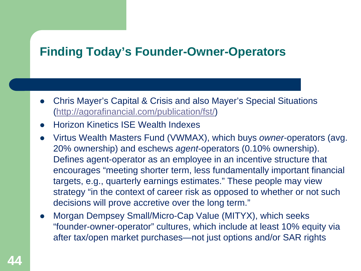#### **Finding Today's Founder-Owner-Operators**

- Chris Mayer's Capital & Crisis and also Mayer's Special Situations [\(http://agorafinancial.com/publication/fst/](http://agorafinancial.com/publication/fst/))
- Horizon Kinetics ISE Wealth Indexes
- Virtus Wealth Masters Fund (VWMAX), which buys *owner*-operators (avg. 20% ownership) and eschews *agent*-operators (0.10% ownership). Defines agent-operator as an employee in an incentive structure that encourages "meeting shorter term, less fundamentally important financial targets, e.g., quarterly earnings estimates." These people may view strategy "in the context of career risk as opposed to whether or not such decisions will prove accretive over the long term."
- Morgan Dempsey Small/Micro-Cap Value (MITYX), which seeks "founder-owner-operator" cultures, which include at least 10% equity via after tax/open market purchases—not just options and/or SAR rights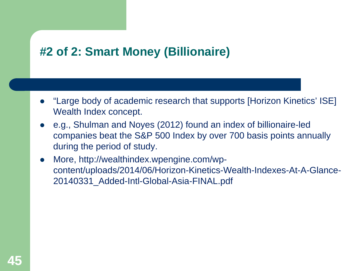#### **#2 of 2: Smart Money (Billionaire)**

- "Large body of academic research that supports [Horizon Kinetics' ISE] Wealth Index concept.
- e.g., Shulman and Noyes (2012) found an index of billionaire‐led companies beat the S&P 500 Index by over 700 basis points annually during the period of study.
- More, http://wealthindex.wpengine.com/wpcontent/uploads/2014/06/Horizon-Kinetics-Wealth-Indexes-At-A-Glance-20140331\_Added-Intl-Global-Asia-FINAL.pdf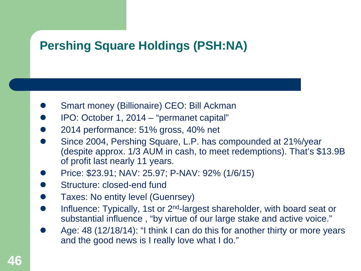#### **Pershing Square Holdings (PSH:NA)**

- Smart money (Billionaire) CEO: Bill Ackman
- IPO: October 1, 2014 "permanet capital"
- 2014 performance: 51% gross, 40% net
- Since 2004, Pershing Square, L.P. has compounded at 21%/year (despite approx. 1/3 AUM in cash, to meet redemptions). That's \$13.9B of profit last nearly 11 years.
- Price: \$23.91; NAV: 25.97; P-NAV: 92% (1/6/15)
- Structure: closed-end fund
- Taxes: No entity level (Guenrsey)
- Influence: Typically, 1st or 2<sup>nd</sup>-largest shareholder, with board seat or substantial influence , "by virtue of our large stake and active voice."
- Age: 48 (12/18/14): "I think I can do this for another thirty or more years and the good news is I really love what I do."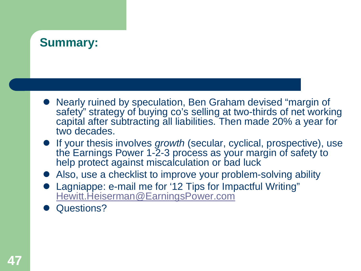## **Summary:**

- Nearly ruined by speculation, Ben Graham devised "margin of safety" strategy of buying co's selling at two-thirds of net working capital after subtracting all liabilities. Then made 20% a year for two decades.
- **If your thesis involves** *growth* **(secular, cyclical, prospective), use** the Earnings Power 1-2-3 process as your margin of safety to help protect against miscalculation or bad luck
- **Also, use a checklist to improve your problem-solving ability**
- [Lagniappe: e-mail me for '12 Tips for Imp](mailto:Hewitt.Heiserman@EarningsPower.com)actful Writing" [Hewitt.Heiserman@EarningsPower.com](mailto:Hewitt.Heiserman@EarningsPower.com)
- Questions?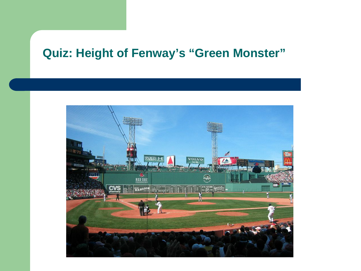#### **Quiz: Height of Fenway's "Green Monster"**

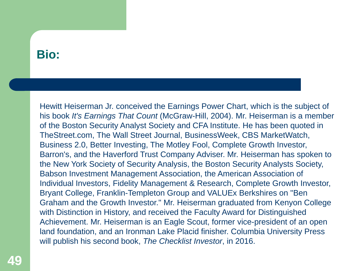#### **Bio:**

Hewitt Heiserman Jr. conceived the Earnings Power Chart, which is the subject of his book *It's Earnings That Count* (McGraw-Hill, 2004). Mr. Heiserman is a member of the Boston Security Analyst Society and CFA Institute. He has been quoted in TheStreet.com, The Wall Street Journal, BusinessWeek, CBS MarketWatch, Business 2.0, Better Investing, The Motley Fool, Complete Growth Investor, Barron's, and the Haverford Trust Company Adviser. Mr. Heiserman has spoken to the New York Society of Security Analysis, the Boston Security Analysts Society, Babson Investment Management Association, the American Association of Individual Investors, Fidelity Management & Research, Complete Growth Investor, Bryant College, Franklin-Templeton Group and VALUEx Berkshires on "Ben Graham and the Growth Investor." Mr. Heiserman graduated from Kenyon College with Distinction in History, and received the Faculty Award for Distinguished Achievement. Mr. Heiserman is an Eagle Scout, former vice-president of an open land foundation, and an Ironman Lake Placid finisher. Columbia University Press will publish his second book, *The Checklist Investor*, in 2016.